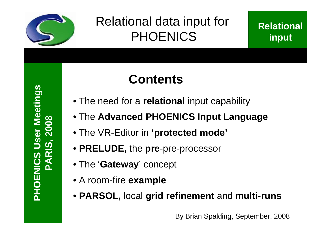

# Relational data input for PHOENICS

# **Contents**

- The need for a **relational** input capability
- The **Advanced PHOENICS Input Language**
- The VR-Editor in **'protected mode'**
- **PRELUDE,** the **pre**-pre-processor
- The '**Gateway**' concept
- A room-fire **example**
- **PARSOL,** local **grid refinement** and **multi-runs**

By Brian Spalding, September, 2008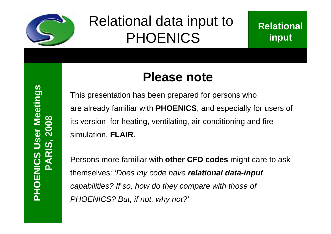

# Relational data input to PHOENICS

# **Please note**

This presentation has been prepared for persons who are already familiar with **PHOENICS**, and especially for users of its version for heating, ventilating, air-conditioning and fire simulation, **FLAIR**.

Persons more familiar with **other CFD codes** might care to ask themselves: *'Does my code have relational data-input capabilities? If so, how do they compare with those of PHOENICS? But, if not, why not?'*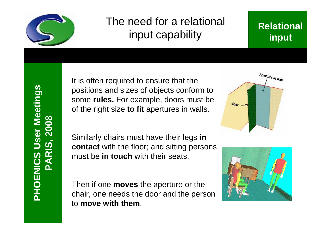

# The need for a relational input capability

### **Relational input**

It is often required to ensure that the positions and sizes of objects conform to some **rules.** For example, doors must be of the right size **to fit** apertures in walls.

Similarly chairs must have their legs **in contact** with the floor; and sitting persons must be **in touch** with their seats.

Then if one **moves** the aperture or the chair, one needs the door and the person to **move with them**.



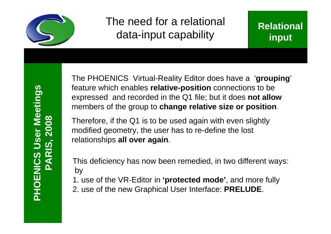

## The need for a relational data-input capability



The PHOENICS Virtual-Reality Editor does have a '**grouping**' feature which enables **relative-position** connections to be expressed and recorded in the Q1 file; but it does **not allow** members of the group to **change relative size or position**.

Therefore, if the Q1 is to be used again with even slightly modified geometry, the user has to re-define the lost relationships **all over again**.

This deficiency has now been remedied, in two different ways: by

- 1. use of the VR-Editor in **'protected mode'**, and more fully
- 2. use of the new Graphical User Interface: **PRELUDE**.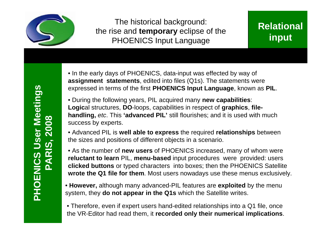

The historical background: the rise and **temporary** eclipse of the PHOENICS Input Language

### **Relational input**

• In the early days of PHOENICS, data-input was effected by way of **assignment statements**, edited into files (Q1s). The statements were expressed in terms of the first **PHOENICS Input Language**, known as **PIL**.

• During the following years, PIL acquired many **new capabilities**: **Logic**al structures, **DO**-loops, capabilities in respect of **graphics**, **filehandling,** *etc*. This **'advanced PIL'** still flourishes; and it is used with much success by experts.

• Advanced PIL is **well able to express** the required **relationships** between the sizes and positions of different objects in a scenario.

• As the number of **new users** of PHOENICS increased, many of whom were **reluctant to learn** PIL, **menu-based** input procedures were provided: users **clicked buttons** or typed characters into boxes; then the PHOENICS Satellite **wrote the Q1 file for them**. Most users nowadays use these menus exclusively.

• **However,** although many advanced-PIL features are **exploited** by the menu system, they **do not appear in the Q1s** which the Satellite writes.

• Therefore, even if expert users hand-edited relationships into a Q1 file, once the VR-Editor had read them, it **recorded only their numerical implications**.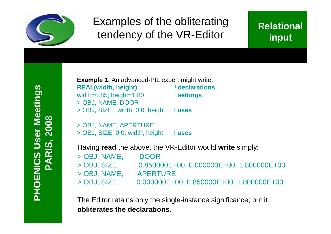

# Examples of the obliterating tendency of the VR-Editor

### **Relational input**

**PHOENIC** <u>(၇</u> **US erMeetin gsPARIS, 2 008**

**Example 1.** An advanced-PIL expert might write: **REAL(width, height)** ! **declarations** width=0.85; height=1.80 ! **settings** > OBJ, NAME, DOOR > OBJ, SIZE, width, 0.0, height ! **uses**

> OBJ, NAME, APERTURE > OBJ, SIZE, 0.0, width, height ! **uses**

Having **read** the above, the VR-Editor would **write** simply:

| <b>DOOR</b>                                |
|--------------------------------------------|
| $0.850000E+00, 0.000000E+00, 1.800000E+00$ |
| <b>APERTURE</b>                            |
| $0.000000E+00, 0.850000E+00, 1.800000E+00$ |
|                                            |

The Editor retains only the single-instance significance; but it **obliterates the declarations**.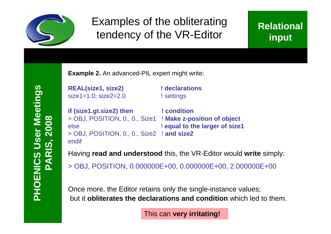

## Examples of the obliterating tendency of the VR-Editor

### **Relational input**

**PHOENIC** <u>(၇</u> **US erMeetin gsPARIS, 2 008**

**Example 2.** An advanced-PIL expert might write:

**REAL(size1, size2) ! declarations** size1=1.0; size2=2.0 <br> ! settings

**if (size1.gt.size2) then ! condition** > OBJ, POSITION, 0., 0., Size1 ! **Make z-position of object** else **else else else else else else else else else else else else else else else else else else else else else else else else else else else else else else else** > OBJ, POSITION, 0., 0., Size2 ! **and size2** endif

Having **read and understood** this, the VR-Editor would **write** simply: > OBJ, POSITION, 0.000000E+00, 0.000000E+00, 2.000000E+00

Once more, the Editor retains only the single-instance values; but it **obliterates the declarations and condition** which led to them.

This can **very irritating!**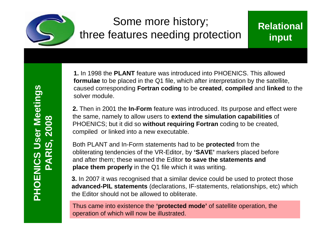

# Some more history; three features needing protection

### **Relational input**

**1.** In 1998 the **PLANT** feature was introduced into PHOENICS. This allowed **formulae** to be placed in the Q1 file, which after interpretation by the satellite, caused corresponding **Fortran coding** to be **created**, **compiled** and **linked** to the solver module.

**2.** Then in 2001 the **In-Form** feature was introduced. Its purpose and effect were the same, namely to allow users to **extend the simulation capabilities** of PHOENICS; but it did so **without requiring Fortran** coding to be created, compiled or linked into a new executable.

Both PLANT and In-Form statements had to be **protected** from the obliterating tendencies of the VR-Editor, by **'SAVE'** markers placed before and after them; these warned the Editor **to save the statements and place them properly** in the Q1 file which it was writing.

**3.** In 2007 it was recognised that a similar device could be used to protect those **advanced-PIL statements** (declarations, IF-statements, relationships, etc) which the Editor should not be allowed to obliterate.

Thus came into existence the **'protected mode'** of satellite operation, the operation of which will now be illustrated.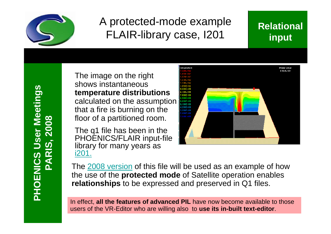

# A protected-mode example FLAIR-library case, I201

### **Relational input**

**PHOENIC** <u>(၇</u> **US erMeetin gsPARIS, 2 008**

The image on the right shows instantaneous **temperature distributions** calculated on the assumption that a fire is burning on the floor of a partitioned room.

The q1 file has been in the PHOENICS/FLAIR input-file library for many years as i201.



The 2008 version of this file will be used as an example of how the use of the **protected mode** of Satellite operation enables **relationships** to be expressed and preserved in Q1 files.

In effect, **all the features of advanced PIL** have now become available to those users of the VR-Editor who are willing also to **use its in-built text-editor**.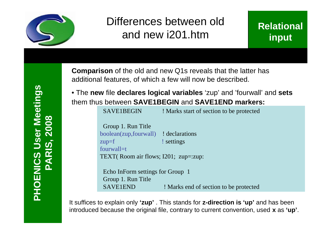

# Differences between old and new i201.htm

**Comparison** of the old and new Q1s reveals that the latter has additional features, of which a few will now be described.

• The **new** file **declares logical variables** 'zup' and 'fourwall' and **sets** them thus between **SAVE1BEGIN** and **SAVE1END markers:**

| SAVE1BEGIN                                                  | ! Marks start of section to be protected |
|-------------------------------------------------------------|------------------------------------------|
| Group 1. Run Title<br>boolean(zup, fourwall) ! declarations |                                          |
| $zup=f$                                                     | ! settings                               |
| fourwall=t                                                  |                                          |
| TEXT(Room air flows; $I201$ ; zup=:zup:                     |                                          |

Echo InForm settings for Group 1 Group 1. Run Title SAVE1END ! Marks end of section to be protected

It suffices to explain only **'zup'** . This stands for **z-direction is 'up'** and has been introduced because the original file, contrary to current convention, used **x** as **'up'**.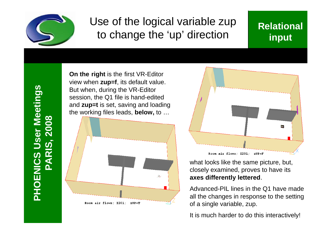

## Use of the logical variable zup to change the 'up' direction

### **Relational input**

**PHOENIC** <u>(၇</u> **US erMeetin gsPARIS, 2 008**

**On the right** is the first VR-Editor view when **zup=f**, its default value. But when, during the VR-Editor session, the Q1 file is hand-edited and **zup=t** is set, saving and loading the working files leads, **below,** to …





what looks like the same picture, but, closely examined, proves to have its **axes differently lettered**.

Advanced-PIL lines in the Q1 have made all the changes in response to the setting of a single variable, zup.

It is much harder to do this interactively!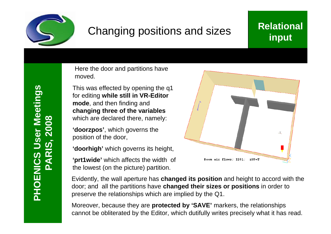

# Changing positions and sizes

### **Relational input**

Here the door and partitions have moved.

This was effected by opening the q1 for editing **while still in VR-Editor mode**, and then finding and **changing three of the variables** which are declared there, namely:

**'doorzpos'**, which governs the position of the door,

**'doorhigh'** which governs its height,

**'prt1wide'** which affects the width of the lowest (on the picture) partition.



Evidently, the wall aperture has **changed its position** and height to accord with the door; and all the partitions have **changed their sizes or positions** in order to preserve the relationships which are implied by the Q1.

Moreover, because they are **protected by 'SAVE'** markers, the relationships cannot be obliterated by the Editor, which dutifully writes precisely what it has read.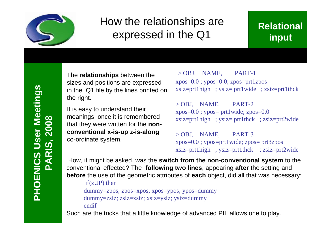

# How the relationships are expressed in the Q1

### **Relational input**

The **relationships** between the sizes and positions are expressed in the Q1 file by the lines printed on the right.

It is easy to understand their meanings, once it is remembered that they were written for the **nonconventional x-is-up z-is-along** co-ordinate system.

 $>$  OBJ, NAME, PART-1 xpos=0.0 ; ypos=0.0; zpos=prt1zpos xsiz=prt1high ; ysiz= prt1wide ; zsiz=prt1thck

 $>$  OBJ, NAME, PART-2 xpos=0.0 ; ypos= prt1wide; zpos=0.0 xsiz=prt1high ; ysiz= prt1thck ; zsiz=prt2wide

> OBJ, NAME, PART-3 xpos=0.0 ; ypos=prt1wide; zpos= prt3zpos xsiz=prt1high ; ysiz=prt1thck ; zsiz=prt2wide

How, it might be asked, was the **switch from the non-conventional system** to the conventional effected? The **following two lines**, appearing **after** the setting and **before** the use of the geometric attributes of **each** object, did all that was necessary:

if(zUP) then

dummy=zpos; zpos=xpos; xpos=ypos; ypos=dummy dummy=zsiz; zsiz=xsiz; xsiz=ysiz; ysiz=dummy endif

Such are the tricks that a little knowledge of advanced PIL allows one to play.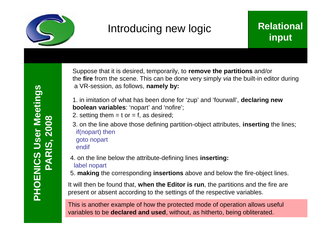

# Introducing new logic

### **Relational input**

Suppose that it is desired, temporarily, to **remove the partitions** and/or the **fire** from the scene. This can be done very simply *via* the built-in editor during a VR-session, as follows, **namely by:**

1. in imitation of what has been done for 'zup' and 'fourwall', **declaring new boolean variables**: 'nopart' and 'nofire';

- 2. setting them  $=$  t or  $=$  f, as desired;
- 3. on the line above those defining partition-object attributes, **inserting** the lines; if(nopart) then goto nopart endif
- 4. on the line below the attribute-defining lines **inserting:** label nopart
- 5. **making** the corresponding **insertions** above and below the fire-object lines.

It will then be found that, **when the Editor is run**, the partitions and the fire are present or absent according to the settings of the respective variables.

This is another example of how the protected mode of operation allows useful variables to be **declared and used**, without, as hitherto, being obliterated.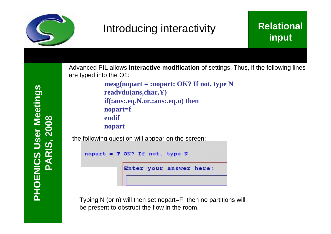

# Introducing interactivity

### **Relational input**

**PHOENIC** <u>(၇</u> **US erMeetin gsPARIS, 2 008**

Advanced PIL allows **interactive modification** of settings. Thus, if the following lines are typed into the Q1:

> **mesg(nopart = :nopart: OK? If not, type N readvdu(ans,char,Y) if(:ans:.eq.N.or.:ans:.eq.n) then nopart=f endif nopart**

the following question will appear on the screen:

```
nopart = T OK? If not, type N
```
Enter your answer here:

Typing N (or n) will then set nopart=F; then no partitions will be present to obstruct the flow in the room.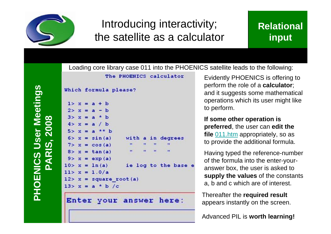

# Introducing interactivity; the satellite as a calculator

Loading core library case 011 into the PHOENICS satellite leads to the following:

### **Relational input**

**PHOENIC** <u>(၇</u> **US erMeetin gsPARIS, 2 008**



Enter your answer here:

Evidently PHOENICS is offering to perform the role of a **calculator**; and it suggests some mathematical operations which its user might like to perform.

**If some other operation is preferred**, the user can **edit the file** 011.htm appropriately, so as to provide the additional formula.

Having typed the reference-number of the formula into the enter-youranswer box, the user is asked to **supply the values** of the constants a, b and c which are of interest.

Thereafter the **required result** appears instantly on the screen.

Advanced PIL is **worth learning!**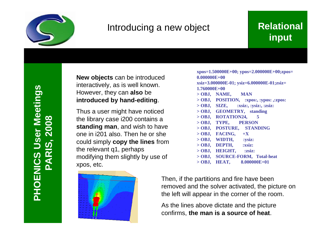

### Introducing a new object

### **Relational input**

**New objects** can be introduced interactively, as is well known. However, they can **also** be **introduced by hand-editing**.

Thus a user might have noticed the library case i200 contains a **standing man**, and wish to have one in i201 also. Then he or she could simply **copy the lines** from the relevant q1, perhaps modifying them slightly by use of xpos, etc.



**xpos=1.500000E+00; ypos=2.000000E+00;zpos= 0.000000E+00 xsiz=3.000000E-01; ysiz=6.000000E-01;zsiz= 1.760000E+00 > OBJ, NAME, MAN > OBJ, POSITION, :xpos:, :ypos: ,:zpos: > OBJ, SIZE, :xsiz:, :ysiz:, :zsiz: > OBJ, GEOMETRY, standing > OBJ, ROTATION24, 5 > OBJ, TYPE, PERSON > OBJ, POSTURE, STANDING > OBJ, FACING, +X > OBJ, WIDTH, :ysiz: > OBJ, DEPTH, :xsiz: > OBJ, HEIGHT, :zsiz: > OBJ, SOURCE-FORM, Total-heat**

**> OBJ, HEAT, 8.000000E+01**

Then, if the partitions and fire have been removed and the solver activated, the picture on the left will appear in the corner of the room.

As the lines above dictate and the picture confirms, **the man is a source of heat**.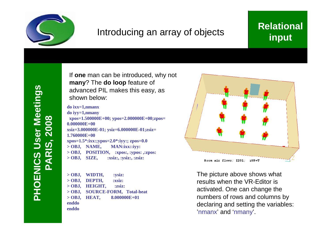

### Introducing an array of objects

### **Relational input**

If **one** man can be introduced, why not **many**? The **do loop** feature of advanced PIL makes this easy, as shown below:

**do ixx=1,nmanx**

**do iyy=1,nmany xpos=1.500000E+00; ypos=2.000000E+00;zpos= 0.000000E+00 xsiz=3.000000E-01; ysiz=6.000000E-01;zsiz= 1.760000E+00 xpos=1.5\*:ixx:;ypos=2.0\*:iyy:; zpos=0.0 > OBJ, NAME, MAN:ixx::iyy: > OBJ, POSITION, :xpos:, :ypos: ,:zpos: > OBJ, SIZE, :xsiz:, :ysiz:, :zsiz:**

**> OBJ, WIDTH, :ysiz: > OBJ, DEPTH, :xsiz: > OBJ, HEIGHT, :zsiz: > OBJ, SOURCE-FORM, Total-heat > OBJ, HEAT, 8.000000E+01 enddo enddo**



The picture above shows what results when the VR-Editor is activated. One can change the numbers of rows and columns by declaring and setting the variables: 'nmanx' and 'nmany'.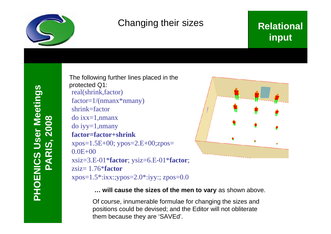

### Changing their sizes

### **Relational input**

The following further lines placed in the protected Q1: real(shrink,factor)  $factor=1/(nmanx*nnany)$ shrink=factor do ixx=1,nmanx do iyy=1,nmany **factor=factor+shrink** xpos=1.5E+00; ypos=2.E+00;zpos=  $0.0E + 00$ xsiz=3.E-01\***factor**; ysiz=6.E-01\***factor**; zsiz= 1.76\***factor** xpos=1.5\*:ixx:;ypos=2.0\*:iyy:; zpos=0.0



**… will cause the sizes of the men to vary** as shown above.

Of course, innumerable formulae for changing the sizes and positions could be devised; and the Editor will not obliterate them because they are 'SAVEd'.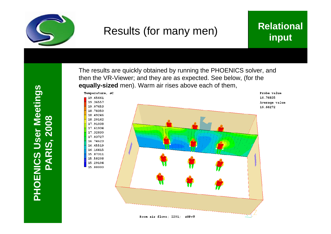

## Results (for many men)

### **Relational input**

**PH O E NIC** (၇) [ **U s e r Σ** č **e e tin g s PARIS, 2 008**



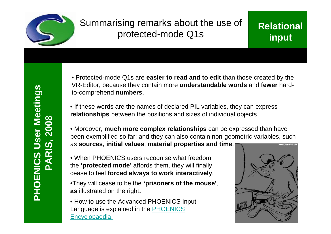

### Summarising remarks about the use of protected-mode Q1s

### **Relational input**

• Protected-mode Q1s are **easier to read and to edit** than those created by the VR-Editor, because they contain more **understandable words** and **fewer** hardto-comprehend **numbers**.

• If these words are the names of declared PIL variables, they can express **relationships** between the positions and sizes of individual objects.

• Moreover, **much more complex relationships** can be expressed than have been exemplified so far; and they can also contain non-geometric variables, such as **sources**, **initial values**, **material properties and time**.

• When PHOENICS users recognise what freedom the **'protected mode'** affords them, they will finally cease to feel **forced always to work interactively**.

•They will cease to be the **'prisoners of the mouse'**, **as** illustrated on the right**.**

• How to use the Advanced PHOENICS Input Language is explained in the PHOENICS Encyclopaedia.

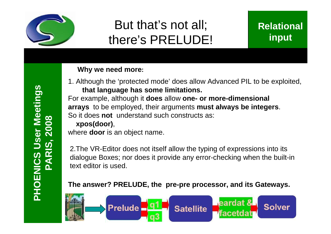

# But that's not all; there's PRELUDE!

### **Relational input**

#### **Why we need more:**

1. Although the 'protected mode' does allow Advanced PIL to be exploited, **that language has some limitations.**

For example, although it **does** allow **one- or more-dimensional arrays** to be employed, their arguments **must always be integers**. So it does **not** understand such constructs as:

#### **xpos(door)**,

where **door** is an object name.

2.The VR-Editor does not itself allow the typing of expressions into its dialogue Boxes; nor does it provide any error-checking when the built-in text editor is used.

#### **The answer? PRELUDE, the pre-pre processor, and its Gateways.**

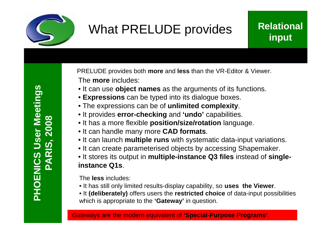

# What PRELUDE provides

### **Relational input**

The **more** includes: PRELUDE provides both **more** and **less** than the VR-Editor & Viewer.

- It can use **object names** as the arguments of its functions.
- **Expressions** can be typed into its dialogue boxes.
- The expressions can be of **unlimited complexity**.
- It provides **error-checking** and **'undo'** capabilities.
- It has a more flexible **position/size/rotation** language.
- It can handle many more **CAD formats**.
- It can launch **multiple runs** with systematic data-input variations.
- It can create parameterised objects by accessing Shapemaker.
- It stores its output in **multiple-instance Q3 files** instead of **singleinstance Q1s**.

The **less** includes:

- It has still only limited results-display capability, so **uses the Viewer**.
- It **(deliberately)** offers users the **restricted choice** of data-input possibilities which is appropriate to the **'Gateway'** in question.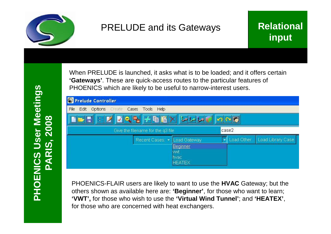

### PRELUDE and its Gateways

When PRELUDE is launched, it asks what is to be loaded; and it offers certain **'Gateways'**. These are quick-access routes to the particular features of PHOENICS which are likely to be useful to narrow-interest users.

| <b>C</b> Prelude Controller                     |                                   |                       |                  |                   |
|-------------------------------------------------|-----------------------------------|-----------------------|------------------|-------------------|
| Options Create Cases Tools Help<br>Edit<br>File |                                   |                       |                  |                   |
| $F$ $F$ $Z$ $Z$ $Z$ $F$ $E$ $K$ $L$ $L$         |                                   |                       | $\sim$ $\approx$ |                   |
|                                                 | Give the filename for the q3 file |                       | case2            |                   |
|                                                 | Recent Cases: *                   | Load Gateway          | Load Other       | Load Library Case |
|                                                 |                                   | <b>Beginner</b>       |                  |                   |
|                                                 |                                   | wwt                   |                  |                   |
|                                                 |                                   | hvac<br><b>HEATEX</b> |                  |                   |

PHOENICS-FLAIR users are likely to want to use the **HVAC** Gateway; but the others shown as available here are: **'Beginner'**, for those who want to learn; **'VWT',** for those who wish to use the **'Virtual Wind Tunnel'**; and **'HEATEX'**, for those who are concerned with heat exchangers.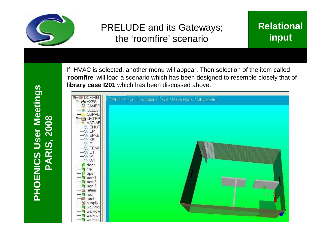

### PRELUDE and its Gateways; the 'roomfire' scenario

### **Relational input**

**PH O E NIC** (၇) [ **U s e r Σ** č **e e tin g s PARIS, 2 008**

 $\sqrt{$  part-2  $\sqrt{1}$  part-3 s return 1 roof spot supply wall-high wall-low wall-nor wall-so

'**roomfire**' will load a scenario which has been designed to resemble closely that of **library case I201** which has been discussed above.**B<sub>T</sub>O** DOMAIN Graphics Q1 Functions Q3 Make Runs Show File d-de AXES **R** CAMER **無 CELLGF CLIPPE** MATEP **N** VARIAB **W**: ENUT  $v:EP$ **V: EPKE** 界·KE  $P1$ **V**: TEM1  $\mathcal{V}$ : U1 17. V  $\mathcal{B}$ : W1 door I fire open part-1

If HVAC is selected, another menu will appear. Then selection of the item called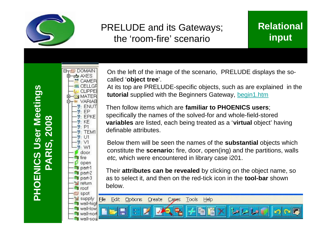

### PRELUDE and its Gateways; the 'room-fire' scenario

### **Relational input**

**HOENIC** <u>(၇</u> **US erMeetin gsPARIS, 2 008**

**P**

**B<sub>T</sub>O** DOMAIN 中西 AXES **R** CAMER ■ CELLGF **CLIPPEI JMATER** VARIAB **ENUT** EP **EPKE** KE  $P1$  $v:$  TEM1  $\mathcal{V}$ : U1  $\mathcal{Y}: V1$  $y: W1$ door fire open  $\blacksquare$  part-1  $\sqrt{p}$  part-2  $\blacksquare$  part-3 s return **T**roof ·*图* spot  $\leq$  supply File wall-high wall-low **Wall-nor** wall-sou

On the left of the image of the scenario, PRELUDE displays the socalled '**object tree**'.

At its top are PRELUDE-specific objects, such as are explained in the **tutorial** supplied with the Beginners Gateway, begin1.htm

Then follow items which are **familiar to PHOENICS users**; specifically the names of the solved-for and whole-field-stored **variables** are listed, each being treated as a '**virtual** object' having definable attributes.

Below them will be seen the names of the **substantial** objects which constitute the **scenario:** fire, door, open(ing) and the partitions, walls *etc,* which were encountered in library case i201.

Their **attributes can be revealed** by clicking on the object name, so as to select it, and then on the red-tick icon in the **tool-bar** shown below.

Edit Options Create Tools Cases Help

H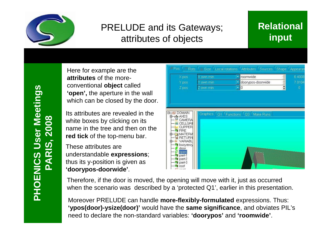

### PRELUDE and its Gateways; attributes of objects

### **Relational input**

Here for example are the **attributes** of the moreconventional **object** called **'open',** the aperture in the wall which can be closed by the door.

Its attributes are revealed in the white boxes by clicking on its name in the tree and then on the **red tick** of the top-menu bar.

These attributes are understandable **expressions**; thus its y-position is given as **'doorypos-doorwide'**.

- Size <sup>1</sup> Local rotations <sup>1</sup> Attributes <sup>1</sup> Sources <sup>1</sup> Shape <sup>1</sup> Anneara  $P_{\text{BS}}$ **Rats**  $\frac{8}{9}$ roomwide 6.4008  $X$ pos Cown min Y pos nwn min doorvpos-doorwide 7 0104  $Z$  pos In  $\mathbb{R}$ DOMAIN Graphics Q1 Functions Q3 Make Runs -nh AXES CAMERA **ME CELLGR CLIPPEF** 'I FIRE **MATER** RETURI VARIAB  $\blacksquare$ buoyanc door open part-1  $\bullet$  part-2  $\blacksquare$  part-3 **T**roof

Therefore, if the door is moved, the opening will move with it, just as occurred when the scenario was described by a 'protected Q1', earlier in this presentation.

Moreover PRELUDE can handle **more-flexibly-formulated** expressions. Thus: **'ypos(door)-ysize(door)'** would have the **same significance**, and obviates PIL's need to declare the non-standard variables: **'doorypos'** and **'roomwide'**.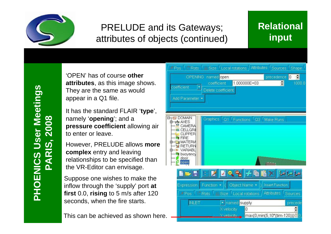

### PRELUDE and its Gateways; attributes of objects (continued)

### **Relational input**

'OPEN' has of course **other attributes**, as this image shows. They are the same as would appear in a Q1 file.

It has the standard FLAIR '**type**', namely '**opening**'; and a **pressure coefficient** allowing air to enter or leave.

However, PRELUDE allows **more complex** entry and leaving relationships to be specified than the VR-Editor can envisage.

Suppose one wishes to make the inflow through the 'supply' port **at first** 0.0, **rising** to 5 m/s after 120 seconds, when the fire starts.

This can be achieved as shown here.

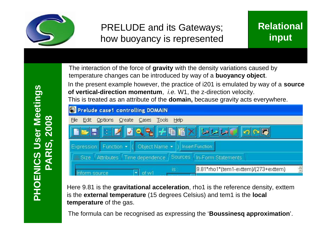

### PRELUDE and its Gateways; how buoyancy is represented

The interaction of the force of **gravity** with the density variations caused by temperature changes can be introduced by way of a **buoyancy object**.

In the present example however, the practice of i201 is emulated by way of a **source of vertical-direction momentum**, *i.e.* W1, the z-direction velocity. This is treated as an attribute of the **domain,** because gravity acts everywhere.

| <b>S</b> Prelude case1 controlling DOMAIN                       |                                                       |
|-----------------------------------------------------------------|-------------------------------------------------------|
| Create Cases<br><b>Options</b><br>Tools<br>File<br>Edit<br>Help |                                                       |
| III レマシチを聞く レレレ                                                 |                                                       |
| Object Name •<br>Expression: Function v (                       | ) Insert Function:                                    |
| Sources<br>Time dependence<br><b>Attributes</b><br><b>Size</b>  | In-Form Statements                                    |
| is:<br>of w1<br>source                                          | $\frac{1}{2}$<br>9.81*rho1*(tem1-exttem)/(273+exttem) |

Here 9.81 is the **gravitational acceleration**, rho1 is the reference density, exttem is the **external temperature** (15 degrees Celsius) and tem1 is the **local temperature** of the gas.

The formula can be recognised as expressing the '**Boussinesq approximation**'.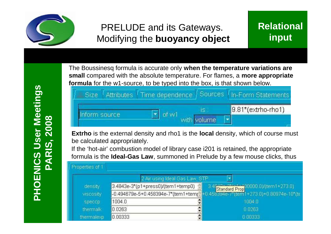

### PRELUDE and its Gateways. Modifying the **buoyancy object**

**PHOENIC** <u>(၇</u> **US erMeetin gsPARIS, 2 008**

The Boussinesq formula is accurate only **when the temperature variations are small** compared with the absolute temperature. For flames, a **more appropriate formula** for the w1-source, to be typed into the box, is that shown below.



**Extrho** is the external density and rho1 is the **local** density, which of course must be calculated appropriately.

If the 'hot-air' combustion model of library case i201 is retained, the appropriate formula is the **Ideal-Gas Law**, summoned in Prelude by a few mouse clicks, thus

| Properties of 1 |            |                                |                                                                                                                                                                |
|-----------------|------------|--------------------------------|----------------------------------------------------------------------------------------------------------------------------------------------------------------|
|                 |            | 2 Air using Ideal Gas Law, STP |                                                                                                                                                                |
|                 | density    |                                |                                                                                                                                                                |
|                 | viscosity  |                                | 3.4843e-3*(p1+press0)/(tem1+temp0) =   3.4843=3*(; 1; 100000.0)/(tem1+273.0)<br> -0.494679e-5+0.458394e-7*(tem1+temp=+0.458394e-7*(tem1+273.0)+0.80974e-10*(te |
|                 | speccp:    | 1004.0                         | 1004.0                                                                                                                                                         |
|                 | thermalk   | 0.0263                         | 0.0263                                                                                                                                                         |
|                 | thermalexp | $\frac{1}{2}$<br>0.00333       | 0.00333                                                                                                                                                        |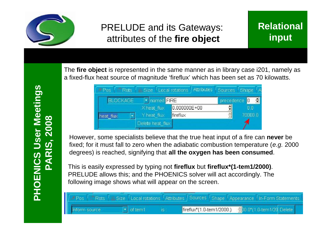

### PRELUDE and its Gateways: attributes of the **fire object**

The **fire object** is represented in the same manner as in library case i201, namely as a fixed-flux heat source of magnitude 'fireflux' which has been set as 70 kilowatts.

| <b>Rots</b><br>Pos | <b>Size</b>      | Attributes<br>Local rotations | Sources       | Shape<br>م ا  |
|--------------------|------------------|-------------------------------|---------------|---------------|
| <b>BLOCKAGE</b>    | named FIRE       |                               | precedence 0  | $\Rightarrow$ |
|                    | X heat flux      | 0.000000E+00                  | ÷             | 0.0           |
| heat flux          | Y heat flux      | fireflux                      | $\frac{1}{2}$ | 70000.0       |
|                    | Delete heat flux |                               |               |               |

However, some specialists believe that the true heat input of a fire can **never** be fixed; for it must fall to zero when the adiabatic combustion temperature (*e.g.* 2000 degrees) is reached, signifying that **all the oxygen has been consumed**.

This is easily expressed by typing not **fireflux** but **fireflux\*(1-tem1/2000)**. PRELUDE allows this; and the PHOENICS solver will act accordingly. The following image shows what will appear on the screen.

|               |  | FPos (Rots & Size Local rotations Attributes Sources Shape Appearance In-Form Statements |           |  |  |  |
|---------------|--|------------------------------------------------------------------------------------------|-----------|--|--|--|
| Inform source |  | $\boxed{\mathbf{r}}$ of tem1                                                             | <b>is</b> |  |  |  |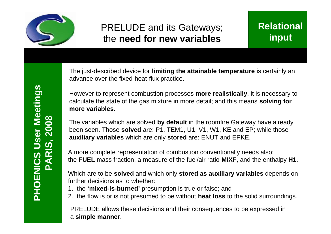

### PRELUDE and its Gateways; the **need for new variables**

The just-described device for **limiting the attainable temperature** is certainly an advance over the fixed-heat-flux practice.

However to represent combustion processes **more realistically**, it is necessary to calculate the state of the gas mixture in more detail; and this means **solving for more variables**.

The variables which are solved **by default** in the roomfire Gateway have already been seen. Those **solved** are: P1, TEM1, U1, V1, W1, KE and EP; while those **auxiliary variables** which are only **stored** are: ENUT and EPKE.

A more complete representation of combustion conventionally needs also: the **FUEL** mass fraction, a measure of the fuel/air ratio **MIXF**, and the enthalpy **H1**.

Which are to be **solved** and which only **stored as auxiliary variables** depends on further decisions as to whether:

- 1. the **'mixed-is-burned'** presumption is true or false; and
- 2. the flow is or is not presumed to be without **heat loss** to the solid surroundings.

PRELUDE allows these decisions and their consequences to be expressed in a **simple manner**.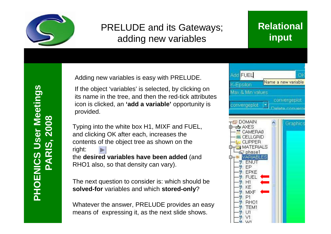

### PRELUDE and its Gateways; adding new variables

### **Relational input**

Adding new variables is easy with PRELUDE.

If the object 'variables' is selected, by clicking on its name in the tree, and then the red-tick attributes icon is clicked, an **'add a variable'** opportunity is provided.

Typing into the white box H1, MIXF and FUEL, and clicking OK after each, increases the contents of the object tree as shown on the right: the **desired variables have been added** (and RHO1 also, so that density can vary).

The next question to consider is: which should be **solved-for** variables and which **stored-only**?

Whatever the answer, PRELUDE provides an easy means of expressing it, as the next slide shows.

| Add FUEL                      | OK                  |
|-------------------------------|---------------------|
| <-Epsilon                     | Name a new variable |
| Max & Min values              |                     |
| $\vert \cdot \vert$           | convergeplot        |
| convergeplot                  | Delate converse     |
|                               |                     |
| DOMAIN<br><b>DRAXES</b><br>ŀН | Graphics            |
| CAMERA0                       |                     |
| CELLGRID<br>CLIPPER           |                     |
| <b>ERIALS</b><br>MAT          |                     |
| phase1<br><b>/ARIABLES</b>    |                     |
| <b>ENUT</b>                   |                     |
| FΡ<br>EPKE                    |                     |
| <b>FUEL</b><br>-12            |                     |
| H1                            |                     |
| KE<br>MIXF<br>- 19 -          |                     |
| P1<br>-77                     |                     |
| RH01                          |                     |
| TEM1<br>γ.<br>LИ              |                     |
|                               |                     |
| VV1                           |                     |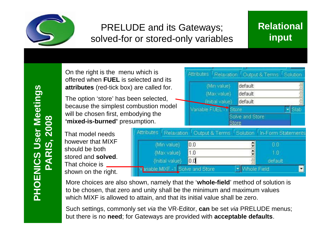

### PRELUDE and its Gateways; solved-for or stored-only variables

### **Relational input**

Cutput & Terms <sup>/</sup> Solution

On the right is the menu which is offered when **FUEL** is selected and its **attributes** (red-tick box) are called for.

The option 'store' has been selected, because the simplest combustion model will be chosen first **'mixed-is-burned'** presumption.

That model needs however that MIX should be both stored and **solved**. That choice is \_\_\_ shown on the right

|    | t, embodying the<br>I' presumption. |     | Solve and Store<br><b>Store</b> |                                                |
|----|-------------------------------------|-----|---------------------------------|------------------------------------------------|
|    | Attributes<br>Relaxation            |     |                                 | Output & Terms   Solution   In-Form Statements |
| F  | {Min value}                         | 0.0 |                                 | 0.0                                            |
| J. | {Max value}                         | 1.0 |                                 | 1.0                                            |
|    | {Initial value}                     | 0.0 |                                 | default                                        |
|    | Tariable MIXF -1 Solve and Store    |     | Whole Field                     |                                                |

Attributes /

Relaxation

default

default

default

{Min value}

{Max value}

{Initial value}

More choices are also shown, namely that the '**whole-field**' method of solution is to be chosen, that zero and unity shall be the minimum and maximum values which MIXF is allowed to attain, and that its initial value shall be zero.

Such settings, commonly set *via* the VR-Editor, **can** be set *via* PRELUDE menus; but there is no **need**; for Gateways are provided with **acceptable defaults**.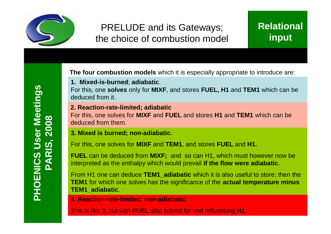

### PRELUDE and its Gateways; the choice of combustion model

**The four combustion models** which it is especially appropriate to introduce are:

**1. Mixed-is-burned**; **adiabatic**.

For this, one **solves** only for **MIXF**, and stores **FUEL, H1** and **TEM1** which can be deduced from it.

#### **2. Reaction-rate-limited; adiabatic**

For this, one solves for **MIXF** and **FUEL** and stores **H1** and **TEM1** which can be deduced from them.

#### **3. Mixed is burned; non-adiabatic.**

For this, one solves for **MIXF** and **TEM1**, and stores **FUEL** and **H1.**

**FUEL** can be deduced from **MIXF;** and so can H1, which must however now be interpreted as the enthalpy which would prevail **if the flow were adiabatic**.

From H1 one can deduce **TEM1\_adiabatic** which it is also useful to store; then the **TEM1** for which one solves has the significance of the **actual temperature minus TEM1\_adiabatic**.

**4. Reaction-rate-limited; non-adiabatic**.

This is like 3, but with **FUEL** also solved for and influencing **H1**.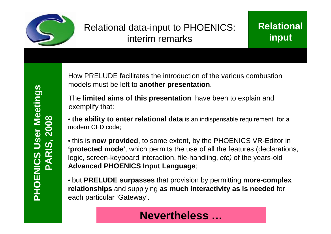

### Relational data-input to PHOENICS: interim remarks

How PRELUDE facilitates the introduction of the various combustion models must be left to **another presentation**.

The **limited aims of this presentation** have been to explain and exemplify that:

• **the ability to enter relational data** is an indispensable requirement for a modern CFD code;

• this is **now provided**, to some extent, by the PHOENICS VR-Editor in **'protected mode'**, which permits the use of all the features (declarations, logic, screen-keyboard interaction, file-handling, *etc)* of the years-old **Advanced PHOENICS Input Language**;

• but **PRELUDE surpasses** that provision by permitting **more-complex relationships** and supplying **as much interactivity as is needed** for each particular 'Gateway'.

### **Nevertheless …**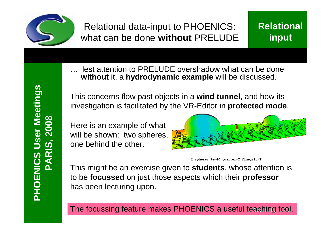

### Relational data-input to PHOENICS: what can be done **without** PRELUDE

### **Relational input**

… lest attention to PRELUDE overshadow what can be done **without** it, a **hydrodynamic example** will be discussed.

This concerns flow past objects in a **wind tunnel**, and how its investigation is facilitated by the VR-Editor in **protected mode**.

Here is an example of what will be shown: two spheres, one behind the other.





This might be an exercise given to **students**, whose attention is to be **focussed** on just those aspects which their **professor** has been lecturing upon.

The focussing feature makes PHOENICS a useful teaching tool.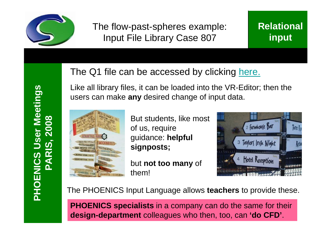

The flow-past-spheres example: Input File Library Case 807

### The Q1 file can be accessed by clicking here. Like all library files, it can be loaded into the VR-Editor; then the users can make **any** desired change of input data.



But students, like most of us, require guidance: **helpful signposts;**

but **not too many** of them!



The PHOENICS Input Language allows **teachers** to provide these.

**PHOENICS specialists** in a company can do the same for their **design-department** colleagues who then, too, can **'do CFD'**.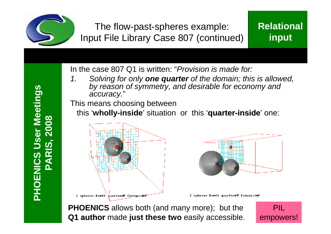

The flow-past-spheres example: Input File Library Case 807 (continued) **Relational input**

In the case 807 Q1 is written: "*Provision is made for:* 

*1. Solving for only one quarter of the domain; this is allowed, by reason of symmetry, and desirable for economy and accuracy.*"

This means choosing between

this '**wholly-inside**' situation or this '**quarter-inside**' one:





2 spheres Re=40 quarter=T finegrid=F

**PHOENICS** allows both (and many more); but the **Q1 author** made **just these two** easily accessible.

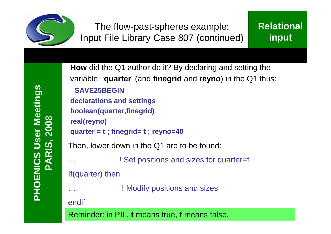

**PHOENIC** <u>(၇</u> **US erMeetin gsPARIS, 2 008**

```
How did the Q1 author do it? By declaring and setting the
variable: 'quarter' (and finegrid and reyno) in the Q1 thus:
 SAVE25BEGIN 
declarations and settings 
boolean(quarter,finegrid) 
real(reyno) 
quarter = t ; finegrid= t ; reyno=40
Then, lower down in the Q1 are to be found:
… ! Set positions and sizes for quarter=f
If(quarter) then
               ! Modify positions and sizes
endif
Reminder: in PIL, t means true, f means false.
```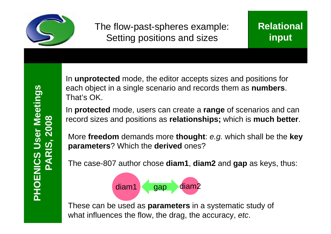

The flow-past-spheres example: Setting positions and sizes

In **unprotected** mode, the editor accepts sizes and positions for each object in a single scenario and records them as **numbers**. That's OK.

In **protected** mode, users can create a **range** of scenarios and can record sizes and positions as **relationships;** which is **much better**.

More **freedom** demands more **thought**: *e.g.* which shall be the **key parameters**? Which the **derived** ones?

The case-807 author chose **diam1**, **diam2** and **gap** as keys, thus:



These can be used as **parameters** in a systematic study of what influences the flow, the drag, the accuracy, *etc*.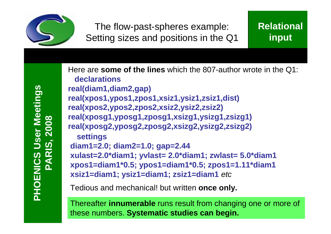

**PHOENIC** <u>(၇</u> **US erMeetin gsPARIS, 2 008**

Here are **some of the lines** which the 807-author wrote in the Q1: **declarations real(diam1,diam2,gap) real(xpos1,ypos1,zpos1,xsiz1,ysiz1,zsiz1,dist) real(xpos2,ypos2,zpos2,xsiz2,ysiz2,zsiz2) real(xposg1,yposg1,zposg1,xsizg1,ysizg1,zsizg1) real(xposg2,yposg2,zposg2,xsizg2,ysizg2,zsizg2) settings diam1=2.0; diam2=1.0; gap=2.44 xulast=2.0\*diam1; yvlast= 2.0\*diam1; zwlast= 5.0\*diam1 xpos1=diam1\*0.5; ypos1=diam1\*0.5; zpos1=1.11\*diam1 xsiz1=diam1; ysiz1=diam1; zsiz1=diam1** *etc*

Tedious and mechanical! but written **once only.**

Thereafter **innumerable** runs result from changing one or more of these numbers. **Systematic studies can begin.**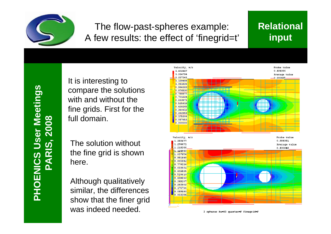

### The flow-past-spheres example: A few results: the effect of 'finegrid=t'

### **Relational input**

**PHOENIC** <u>(၇</u> **US erMeetin gsPARIS, 2 008**

It is interesting to compare the solutions with and without the fine grids. First for the full domain.

The solution without the fine grid is shown here.

Although qualitatively similar, the differences show that the finer grid was indeed needed.



2 spheres Re=40 quarter=F finegrid=F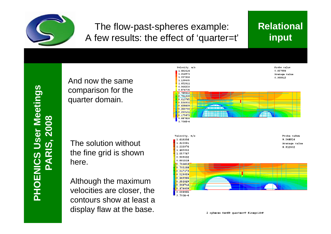

### The flow-past-spheres example: A few results: the effect of 'quarter=t'

### **Relational input**

**PHOENIC** <u>(၇</u> **US erMeetin gsPARIS, 2 008**

And now the same comparison for the quarter domain.

The solution without the fine grid is shown here.

Although the maximum velocities are closer, the contours show at least a display flaw at the base.



2 spheres Re=40 quarter=T finegrid=F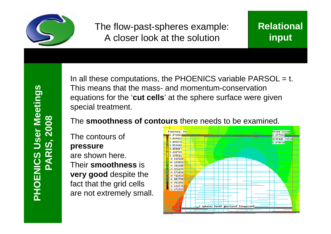

The flow-past-spheres example: A closer look at the solution

In all these computations, the PHOENICS variable  $PARSOL = t$ . This means that the mass- and momentum-conservation equations for the '**cut cells**' at the sphere surface were given special treatment.

#### The **smoothness of contours** there needs to be examined.

The contours of **pressure** are shown here. Their **smoothness** is **very good** despite the fact that the grid cells are not extremely small.

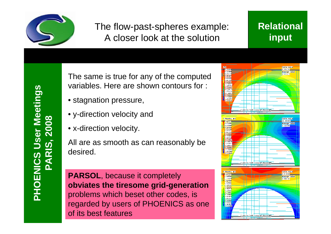

### The flow-past-spheres example: A closer look at the solution

### **Relational input**

The same is true for any of the computed variables. Here are shown contours for :

- stagnation pressure,
- y-direction velocity and
- x-direction velocity.

All are as smooth as can reasonably be desired.

**PARSOL**, because it completely **obviates the tiresome grid-generation**  problems which beset other codes, is regarded by users of PHOENICS as one of its best features

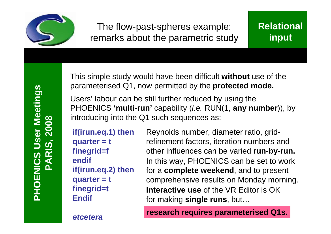

This simple study would have been difficult **without** use of the parameterised Q1, now permitted by the **protected mode.**

Users' labour can be still further reduced by using the PHOENICS **'multi-run'** capability (*i.e.* RUN(1, **any number**)), by introducing into the Q1 such sequences as:

**if(irun.eq.1) then quarter = t finegrid=f endif if(irun.eq.2) then quarter = t finegrid=t Endif**

In this way, PHOENICS can be set to work for a **complete weekend**, and to present comprehensive results on Monday morning. Reynolds number, diameter ratio, gridrefinement factors, iteration numbers and other influences can be varied **run-by-run. Interactive use** of the VR Editor is OK for making **single runs**, but…

**research requires parameterised Q1s.**

*etcetera*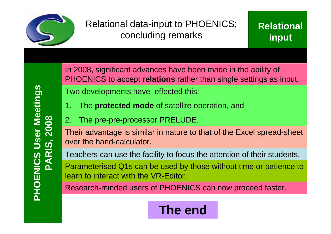

Relational data-input to PHOENICS; concluding remarks

In 2008, significant advances have been made in the ability of PHOENICS to accept **relations** rather than single settings as input. Two developments have effected this:

- 1. The **protected mode** of satellite operation, and
- 2. The pre-pre-processor PRELUDE.

Their advantage is similar in nature to that of the Excel spread-sheet over the hand-calculator.

Teachers can use the facility to focus the attention of their students.

Parameterised Q1s can be used by those without time or patience to learn to interact with the VR-Editor.

Research-minded users of PHOENICS can now proceed faster.

# **The end**